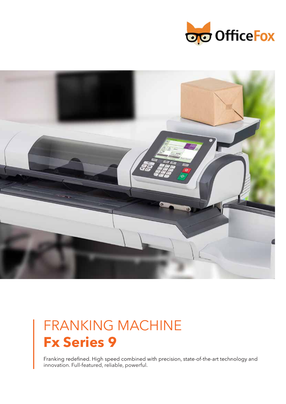



## FRANKING MACHINE **Fx Series 9**

Franking redefined. High speed combined with precision, state-of-the-art technology and innovation. Full-featured, reliable, powerful.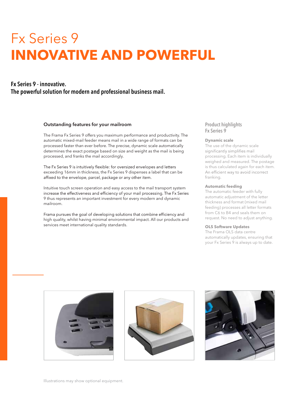# Fx Series 9 **INNOVATIVE AND POWERFUL**

### Fx Series 9 - innovative. The powerful solution for modern and professional business mail.

#### Outstanding features for your mailroom

The Frama Fx Series 9 offers you maximum performance and productivity. The automatic mixed-mail feeder means mail in a wide range of formats can be processed faster than ever before. The precise, dynamic scale automatically determines the exact postage based on size and weight as the mail is being processed, and franks the mail accordingly.

The Fx Series 9 is intuitively flexible: for oversized envelopes and letters exceeding 16mm in thickness, the Fx Series 9 dispenses a label that can be affixed to the envelope, parcel, package or any other item.

Intuitive touch screen operation and easy access to the mail transport system increase the effectiveness and efficiency of your mail processing. The Fx Series 9 thus represents an important investment for every modern and dynamic mailroom.

Frama pursues the goal of developing solutions that combine efficiency and high quality, whilst having minimal environmental impact. All our products and services meet international quality standards.

#### Product highlights Fx Series 9

#### **Dynamic scale**

The use of the dynamic scale significantly simplifies mail processing. Each item is individually weighed and measured. The postage is thus calculated again for each item. An efficient way to avoid incorrect franking.

#### **Automatic feeding**

The automatic feeder with fully automatic adjustment of the letter thickness and format (mixed mail feeding) processes all letter formats from C6 to B4 and seals them on request. No need to adjust anything.

#### **OLS Software Updates**

The Frama OLS data centre automatically updates, ensuring that your Fx Series 9 is always up to date.





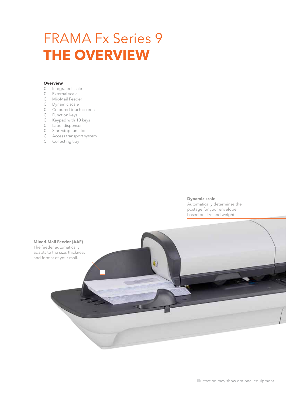# FRAMA Fx Series 9 **THE OVERVIEW**

#### **Overview**

- Integrated scale
- External scale
- Mix-Mail Feeder
- Dynamic scale
- Coloured touch screen
- Function keys
- $\mathbb C$  Keypad with 10 keys
- Label dispenser
- Start/stop function
- Access transport system
- Collecting tray

#### **Dynamic scale**

Automatically determines the postage for your envelope based on size and weight.

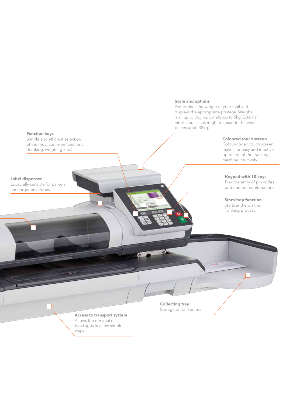#### **Scale and options**

Determines the weight of your mail and displays the appropriate postage. Weighs mail up to 3kg, optionally up to 5kg. External interfaced scales might be used for heavier pieces up to 35kg.

#### **Coloured touch screen**

Colour-coded touch screen makes for easy and intuitive operation of the franking machine intuitively.

#### **Keypad with 10 keys**

Flexible entry of pin codes and number combinations.

**Start/stop function**

Starts and ends the franking process.

#### **Access to transport system** Allows the remvoal of blockages in a few simple

steps.

**Collecting tray** Storage of franked mail.

a

**Function keys**<br>Simple and efficient selection of the most common functions (franking, weighing, etc.)

**Label dispenser**

Especially suitable for parcels and larger envelopes.